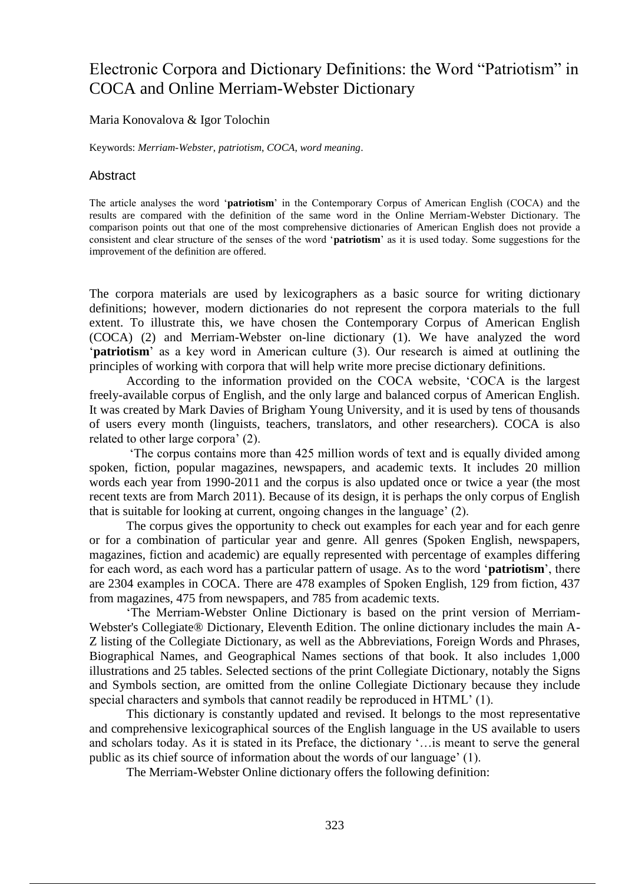# Electronic Corpora and Dictionary Definitions: the Word "Patriotism" in COCA and Online Merriam-Webster Dictionary

#### Maria Konovalova & Igor Tolochin

Keywords: *Merriam-Webster*, *patriotism*, *COCA*, *word meaning*.

#### **Abstract**

The article analyses the word '**patriotism**' in the Contemporary Corpus of American English (COCA) and the results are compared with the definition of the same word in the Online Merriam-Webster Dictionary. The comparison points out that one of the most comprehensive dictionaries of American English does not provide a consistent and clear structure of the senses of the word '**patriotism**' as it is used today. Some suggestions for the improvement of the definition are offered.

The corpora materials are used by lexicographers as a basic source for writing dictionary definitions; however, modern dictionaries do not represent the corpora materials to the full extent. To illustrate this, we have chosen the Contemporary Corpus of American English (COCA) (2) and Merriam-Webster on-line dictionary (1). We have analyzed the word '**patriotism**' as a key word in American culture (3). Our research is aimed at outlining the principles of working with corpora that will help write more precise dictionary definitions.

According to the information provided on the COCA website, 'COCA is the largest freely-available corpus of English, and the only large and balanced corpus of American English. It was created by Mark Davies of Brigham Young University, and it is used by tens of thousands of users every month (linguists, teachers, translators, and other researchers). COCA is also related to other large corpora' (2).

'The corpus contains more than 425 million words of text and is equally divided among spoken, fiction, popular magazines, newspapers, and academic texts. It includes 20 million words each year from 1990-2011 and the corpus is also updated once or twice a year (the most recent texts are from March 2011). Because of its design, it is perhaps the only corpus of English that is suitable for looking at current, ongoing changes in the language' (2).

The corpus gives the opportunity to check out examples for each year and for each genre or for a combination of particular year and genre. All genres (Spoken English, newspapers, magazines, fiction and academic) are equally represented with percentage of examples differing for each word, as each word has a particular pattern of usage. As to the word '**patriotism**', there are 2304 examples in COCA. There are 478 examples of Spoken English, 129 from fiction, 437 from magazines, 475 from newspapers, and 785 from academic texts.

'The Merriam-Webster Online Dictionary is based on the print version of Merriam-Webster's Collegiate® Dictionary, Eleventh Edition. The online dictionary includes the main A-Z listing of the Collegiate Dictionary, as well as the Abbreviations, Foreign Words and Phrases, Biographical Names, and Geographical Names sections of that book. It also includes 1,000 illustrations and 25 tables. Selected sections of the print Collegiate Dictionary, notably the Signs and Symbols section, are omitted from the online Collegiate Dictionary because they include special characters and symbols that cannot readily be reproduced in HTML' (1).

This dictionary is constantly updated and revised. It belongs to the most representative and comprehensive lexicographical sources of the English language in the US available to users and scholars today. As it is stated in its Preface, the dictionary '…is meant to serve the general public as its chief source of information about the words of our language' (1).

The Merriam-Webster Online dictionary offers the following definition: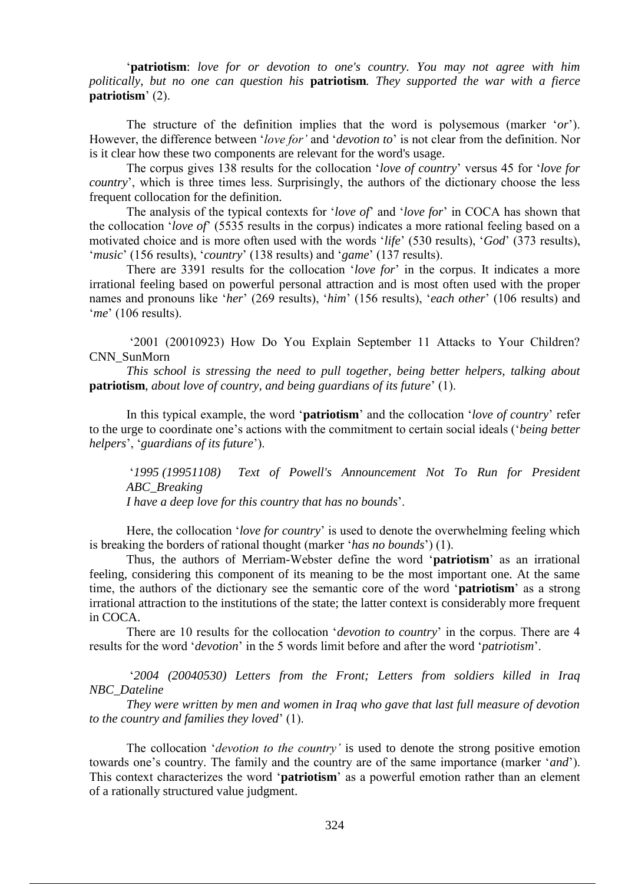'**patriotism**: *love for or devotion to one's country. You may not agree with him politically, but no one can question his* **patriotism***. They supported the war with a fierce*  **patriotism**' (2).

The structure of the definition implies that the word is polysemous (marker '*or*'). However, the difference between '*love for'* and '*devotion to*' is not clear from the definition. Nor is it clear how these two components are relevant for the word's usage.

The corpus gives 138 results for the collocation '*love of country*' versus 45 for '*love for country*', which is three times less. Surprisingly, the authors of the dictionary choose the less frequent collocation for the definition.

The analysis of the typical contexts for '*love of*' and '*love for*' in COCA has shown that the collocation '*love of*' (5535 results in the corpus) indicates a more rational feeling based on a motivated choice and is more often used with the words '*life*' (530 results), '*God*' (373 results), '*music*' (156 results), '*country*' (138 results) and '*game*' (137 results).

There are 3391 results for the collocation '*love for*' in the corpus. It indicates a more irrational feeling based on powerful personal attraction and is most often used with the proper names and pronouns like '*her*' (269 results), '*him*' (156 results), '*each other*' (106 results) and '*me*' (106 results).

'2001 (20010923) How Do You Explain September 11 Attacks to Your Children? CNN\_SunMorn

*This school is stressing the need to pull together, being better helpers, talking about*  **patriotism***, about love of country, and being guardians of its future*' (1).

In this typical example, the word '**patriotism**' and the collocation '*love of country*' refer to the urge to coordinate one's actions with the commitment to certain social ideals ('*being better helpers*', '*guardians of its future*').

'*1995 (19951108) Text of Powell's Announcement Not To Run for President ABC\_Breaking I have a deep love for this country that has no bounds*'.

Here, the collocation '*love for country*' is used to denote the overwhelming feeling which is breaking the borders of rational thought (marker '*has no bounds*') (1).

Thus, the authors of Merriam-Webster define the word '**patriotism**' as an irrational feeling, considering this component of its meaning to be the most important one. At the same time, the authors of the dictionary see the semantic core of the word '**patriotism**' as a strong irrational attraction to the institutions of the state; the latter context is considerably more frequent in COCA.

There are 10 results for the collocation '*devotion to country*' in the corpus. There are 4 results for the word '*devotion*' in the 5 words limit before and after the word '*patriotism*'.

'*2004 (20040530) Letters from the Front; Letters from soldiers killed in Iraq NBC\_Dateline*

*They were written by men and women in Iraq who gave that last full measure of devotion to the country and families they loved*' (1).

The collocation '*devotion to the country'* is used to denote the strong positive emotion towards one's country. The family and the country are of the same importance (marker '*and*'). This context characterizes the word '**patriotism**' as a powerful emotion rather than an element of a rationally structured value judgment.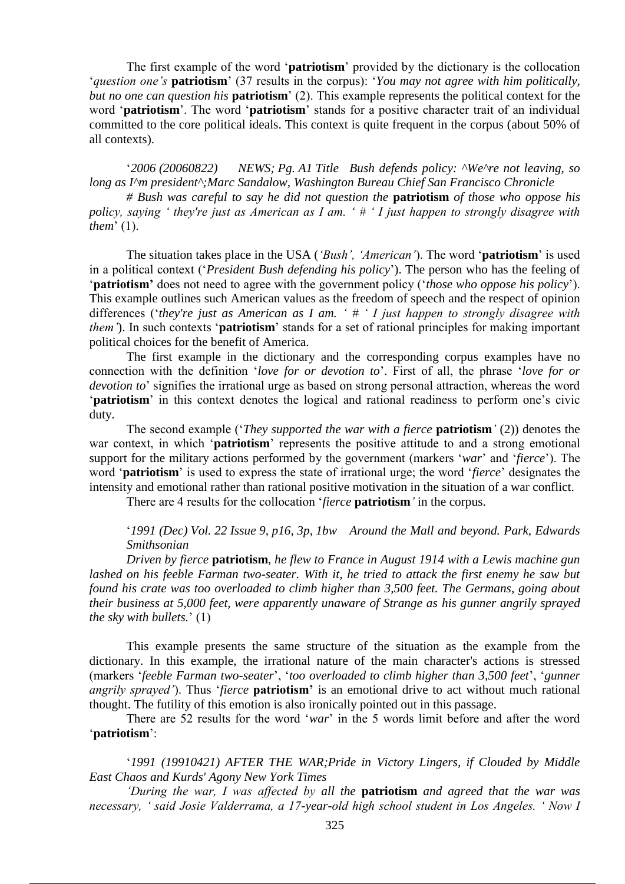The first example of the word '**patriotism**' provided by the dictionary is the collocation '*question one's* **patriotism**' (37 results in the corpus): '*You may not agree with him politically, but no one can question his* **patriotism**' (2). This example represents the political context for the word '**patriotism**'. The word '**patriotism**' stands for a positive character trait of an individual committed to the core political ideals. This context is quite frequent in the corpus (about 50% of all contexts).

'*2006 (20060822) NEWS; Pg. A1 Title Bush defends policy: ^We^re not leaving, so long as I^m president^;Marc Sandalow, Washington Bureau Chief San Francisco Chronicle*

*# Bush was careful to say he did not question the* **patriotism** *of those who oppose his policy, saying ' they're just as American as I am. ' # ' I just happen to strongly disagree with them*' (1).

The situation takes place in the USA (*'Bush', 'American'*). The word '**patriotism**' is used in a political context ('*President Bush defending his policy*'). The person who has the feeling of '**patriotism'** does not need to agree with the government policy ('*those who oppose his policy*'). This example outlines such American values as the freedom of speech and the respect of opinion differences ('*they're just as American as I am. ' # ' I just happen to strongly disagree with them'*). In such contexts '**patriotism**' stands for a set of rational principles for making important political choices for the benefit of America.

The first example in the dictionary and the corresponding corpus examples have no connection with the definition '*love for or devotion to*'. First of all, the phrase '*love for or devotion to*' signifies the irrational urge as based on strong personal attraction, whereas the word '**patriotism**' in this context denotes the logical and rational readiness to perform one's civic duty.

The second example ('*They supported the war with a fierce* **patriotism***'* (2)) denotes the war context, in which '**patriotism**' represents the positive attitude to and a strong emotional support for the military actions performed bу the government (markers '*war*' and '*fierce*'). The word '**patriotism**' is used to express the state of irrational urge; the word '*fierce*' designates the intensity and emotional rather than rational positive motivation in the situation of a war conflict.

There are 4 results for the collocation '*fierce* **patriotism***'* in the corpus.

'*1991 (Dec) Vol. 22 Issue 9, p16, 3p, 1bw Around the Mall and beyond. Park, Edwards Smithsonian*

*Driven by fierce* **patriotism***, he flew to France in August 1914 with a Lewis machine gun lashed on his feeble Farman two-seater. With it, he tried to attack the first enemy he saw but found his crate was too overloaded to climb higher than 3,500 feet. The Germans, going about their business at 5,000 feet, were apparently unaware of Strange as his gunner angrily sprayed the sky with bullets.*' (1)

This example presents the same structure of the situation as the example from the dictionary. In this example, the irrational nature of the main character's actions is stressed (markers '*feeble Farman two-seater*', '*too overloaded to climb higher than 3,500 feet*', '*gunner angrily sprayed'*). Thus '*fierce* **patriotism'** is an emotional drive to act without much rational thought. The futility of this emotion is also ironically pointed out in this passage.

There are 52 results for the word '*war*' in the 5 words limit before and after the word '**patriotism**':

'*1991 (19910421) AFTER THE WAR;Pride in Victory Lingers, if Clouded by Middle East Chaos and Kurds' Agony New York Times*

*'During the war, I was affected by all the* **patriotism** *and agreed that the war was necessary, ' said Josie Valderrama, a 17-year-old high school student in Los Angeles. ' Now I*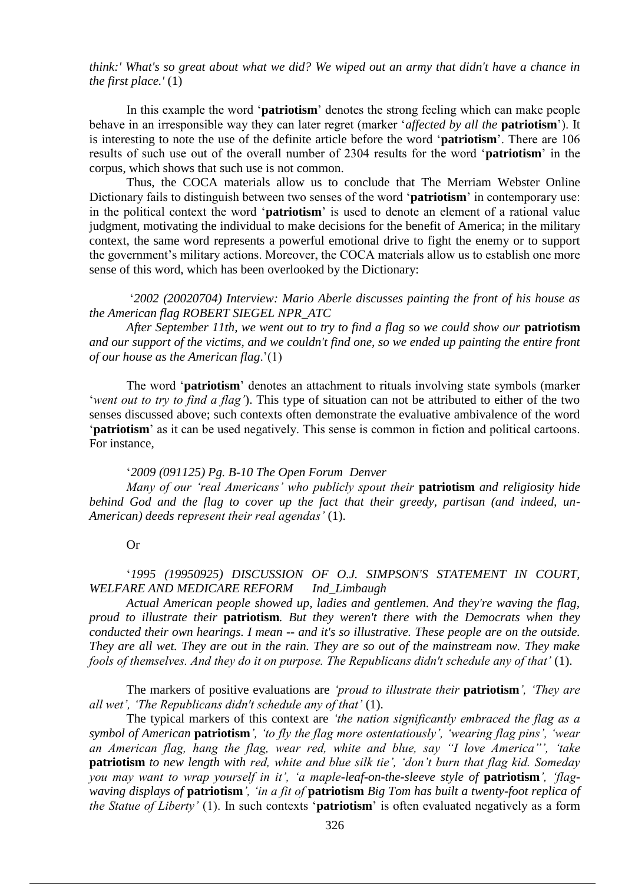*think:' What's so great about what we did? We wiped out an army that didn't have a chance in the first place.'* (1)

In this example the word '**patriotism**' denotes the strong feeling which can make people behave in an irresponsible way they can later regret (marker '*affected by all the* **patriotism**'). It is interesting to note the use of the definite article before the word '**patriotism**'. There are 106 results of such use out of the overall number of 2304 results for the word '**patriotism**' in the corpus, which shows that such use is not common.

Thus, the COCA materials allow us to conclude that The Merriam Webster Online Dictionary fails to distinguish between two senses of the word '**patriotism**' in contemporary use: in the political context the word '**patriotism**' is used to denote an element of a rational value judgment, motivating the individual to make decisions for the benefit of America; in the military context, the same word represents a powerful emotional drive to fight the enemy or to support the government's military actions. Moreover, the COCA materials allow us to establish one more sense of this word, which has been overlooked by the Dictionary:

'*2002 (20020704) Interview: Mario Aberle discusses painting the front of his house as the American flag ROBERT SIEGEL NPR\_ATC*

*After September 11th, we went out to try to find a flag so we could show our* **patriotism** *and our support of the victims, and we couldn't find one, so we ended up painting the entire front of our house as the American flag*.'(1)

The word '**patriotism**' denotes an attachment to rituals involving state symbols (marker '*went out to try to find a flag'*). This type of situation can not be attributed to either of the two senses discussed above; such contexts often demonstrate the evaluative ambivalence of the word '**patriotism**' as it can be used negatively. This sense is common in fiction and political cartoons. For instance,

#### '*2009 (091125) Pg. B-10 The Open Forum Denver*

*Many of our 'real Americans' who publicly spout their* **patriotism** *and religiosity hide behind God and the flag to cover up the fact that their greedy, partisan (and indeed, un-American) deeds represent their real agendas'* (1).

## Or

# '*1995 (19950925) DISCUSSION OF O.J. SIMPSON'S STATEMENT IN COURT, WELFARE AND MEDICARE REFORM Ind\_Limbaugh*

*Actual American people showed up, ladies and gentlemen. And they're waving the flag, proud to illustrate their* **patriotism***. But they weren't there with the Democrats when they conducted their own hearings. I mean -- and it's so illustrative. These people are on the outside. They are all wet. They are out in the rain. They are so out of the mainstream now. They make fools of themselves. And they do it on purpose. The Republicans didn't schedule any of that'* (1).

The markers of positive evaluations are *'proud to illustrate their* **patriotism***', 'They are all wet', 'The Republicans didn't schedule any of that'* (1).

The typical markers of this context are *'the nation significantly embraced the flag as a symbol of American* **patriotism***', 'to fly the flag more ostentatiously', 'wearing flag pins', 'wear an American flag, hang the flag, wear red, white and blue, say "I love America"', 'take*  **patriotism** *to new length with red, white and blue silk tie', 'don't burn that flag kid. Someday you may want to wrap yourself in it', 'a maple-leaf-on-the-sleeve style of patriotism', 'flagwaving displays of* **patriotism***', 'in a fit of* **patriotism** *Big Tom has built a twenty-foot replica of the Statue of Liberty'* (1). In such contexts '**patriotism**' is often evaluated negatively as a form